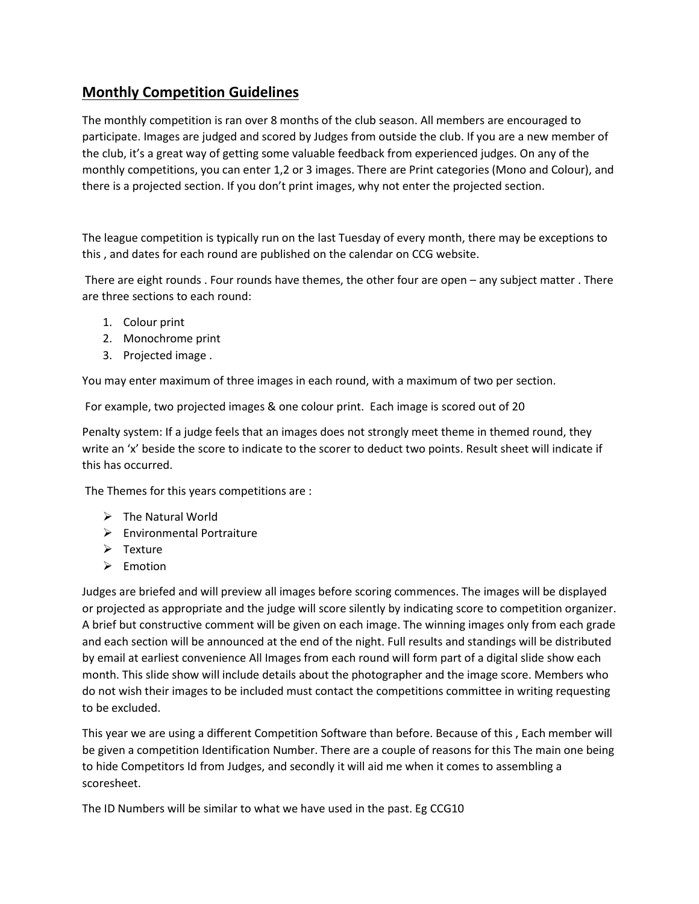## **Monthly Competition Guidelines**

The monthly competition is ran over 8 months of the club season. All members are encouraged to participate. Images are judged and scored by Judges from outside the club. If you are a new member of the club, it's a great way of getting some valuable feedback from experienced judges. On any of the monthly competitions, you can enter 1,2 or 3 images. There are Print categories (Mono and Colour), and there is a projected section. If you don't print images, why not enter the projected section.

The league competition is typically run on the last Tuesday of every month, there may be exceptions to this , and dates for each round are published on the calendar on CCG website.

There are eight rounds . Four rounds have themes, the other four are open – any subject matter . There are three sections to each round:

- 1. Colour print
- 2. Monochrome print
- 3. Projected image .

You may enter maximum of three images in each round, with a maximum of two per section.

For example, two projected images & one colour print. Each image is scored out of 20

Penalty system: If a judge feels that an images does not strongly meet theme in themed round, they write an 'x' beside the score to indicate to the scorer to deduct two points. Result sheet will indicate if this has occurred.

The Themes for this years competitions are :

- ➢ The Natural World
- ➢ Environmental Portraiture
- ➢ Texture
- ➢ Emotion

Judges are briefed and will preview all images before scoring commences. The images will be displayed or projected as appropriate and the judge will score silently by indicating score to competition organizer. A brief but constructive comment will be given on each image. The winning images only from each grade and each section will be announced at the end of the night. Full results and standings will be distributed by email at earliest convenience All Images from each round will form part of a digital slide show each month. This slide show will include details about the photographer and the image score. Members who do not wish their images to be included must contact the competitions committee in writing requesting to be excluded.

This year we are using a different Competition Software than before. Because of this , Each member will be given a competition Identification Number. There are a couple of reasons for this The main one being to hide Competitors Id from Judges, and secondly it will aid me when it comes to assembling a scoresheet.

The ID Numbers will be similar to what we have used in the past. Eg CCG10